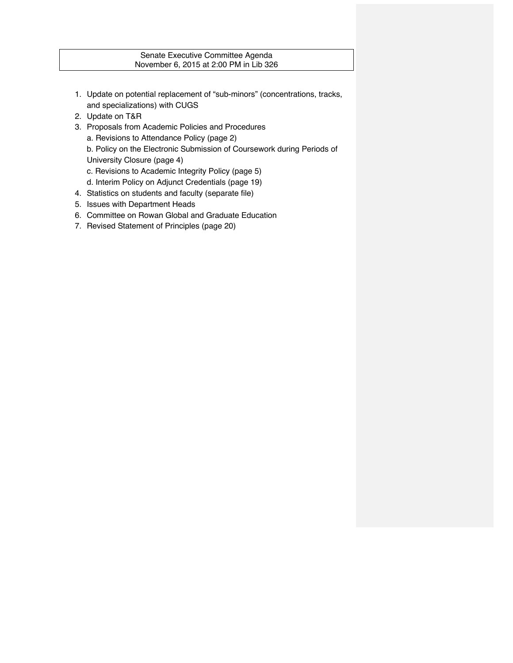# Senate Executive Committee Agenda November 6, 2015 at 2:00 PM in Lib 326

- 1. Update on potential replacement of "sub-minors" (concentrations, tracks, and specializations) with CUGS
- 2. Update on T&R
- 3. Proposals from Academic Policies and Procedures a. Revisions to Attendance Policy (page 2) b. Policy on the Electronic Submission of Coursework during Periods of University Closure (page 4)
	- c. Revisions to Academic Integrity Policy (page 5)
	- d. Interim Policy on Adjunct Credentials (page 19)
- 4. Statistics on students and faculty (separate file)
- 5. Issues with Department Heads
- 6. Committee on Rowan Global and Graduate Education
- 7. Revised Statement of Principles (page 20)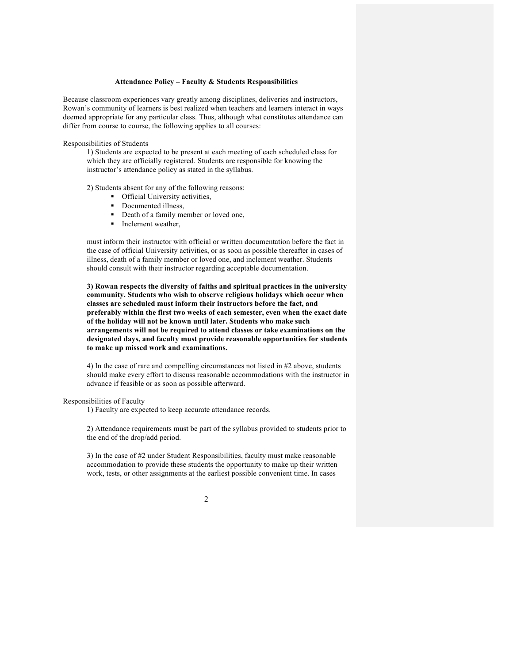### **Attendance Policy – Faculty & Students Responsibilities**

Because classroom experiences vary greatly among disciplines, deliveries and instructors, Rowan's community of learners is best realized when teachers and learners interact in ways deemed appropriate for any particular class. Thus, although what constitutes attendance can differ from course to course, the following applies to all courses:

#### Responsibilities of Students

1) Students are expected to be present at each meeting of each scheduled class for which they are officially registered. Students are responsible for knowing the instructor's attendance policy as stated in the syllabus.

2) Students absent for any of the following reasons:

- Official University activities,
- Documented illness.
- Death of a family member or loved one,
- Inclement weather,

must inform their instructor with official or written documentation before the fact in the case of official University activities, or as soon as possible thereafter in cases of illness, death of a family member or loved one, and inclement weather. Students should consult with their instructor regarding acceptable documentation.

**3) Rowan respects the diversity of faiths and spiritual practices in the university community. Students who wish to observe religious holidays which occur when classes are scheduled must inform their instructors before the fact, and preferably within the first two weeks of each semester, even when the exact date of the holiday will not be known until later. Students who make such arrangements will not be required to attend classes or take examinations on the designated days, and faculty must provide reasonable opportunities for students to make up missed work and examinations.** 

4) In the case of rare and compelling circumstances not listed in #2 above, students should make every effort to discuss reasonable accommodations with the instructor in advance if feasible or as soon as possible afterward.

#### Responsibilities of Faculty

1) Faculty are expected to keep accurate attendance records.

2) Attendance requirements must be part of the syllabus provided to students prior to the end of the drop/add period.

3) In the case of #2 under Student Responsibilities, faculty must make reasonable accommodation to provide these students the opportunity to make up their written work, tests, or other assignments at the earliest possible convenient time. In cases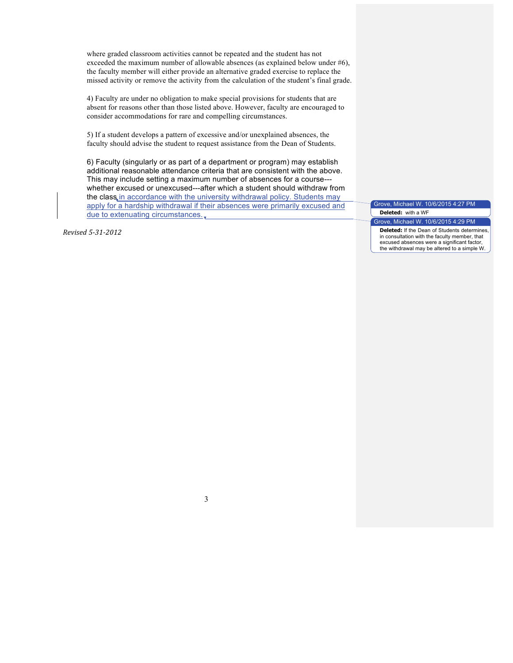where graded classroom activities cannot be repeated and the student has not exceeded the maximum number of allowable absences (as explained below under #6), the faculty member will either provide an alternative graded exercise to replace the missed activity or remove the activity from the calculation of the student's final grade.

4) Faculty are under no obligation to make special provisions for students that are absent for reasons other than those listed above. However, faculty are encouraged to consider accommodations for rare and compelling circumstances.

5) If a student develops a pattern of excessive and/or unexplained absences, the faculty should advise the student to request assistance from the Dean of Students.

6) Faculty (singularly or as part of a department or program) may establish additional reasonable attendance criteria that are consistent with the above. This may include setting a maximum number of absences for a course-- whether excused or unexcused---after which a student should withdraw from the class in accordance with the university withdrawal policy. Students may apply for a hardship withdrawal if their absences were primarily excused and due to extenuating circumstances.

*Revised 5-31-2012*

Grove, Michael W. 10/6/2015 4:27 PM **Deleted:** with a WF Grove, Michael W. 10/6/2015 4:29 PM

**Deleted:** If the Dean of Students determines, in consultation with the faculty member, that excused absences were a significant factor, the withdrawal may be altered to a simple W.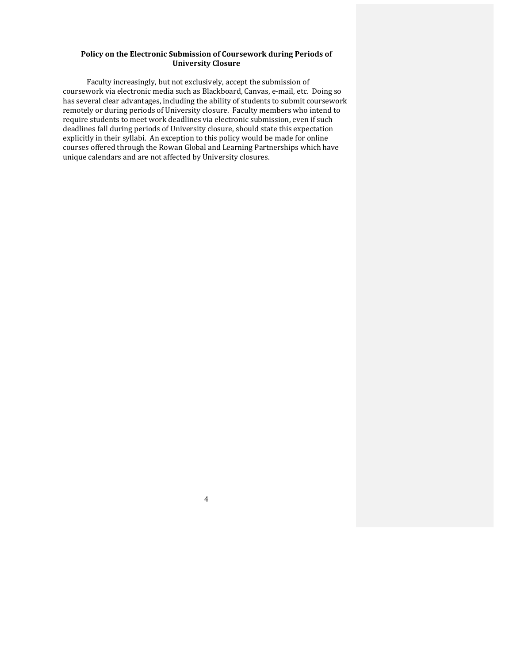# Policy on the Electronic Submission of Coursework during Periods of **University Closure**

Faculty increasingly, but not exclusively, accept the submission of coursework via electronic media such as Blackboard, Canvas, e-mail, etc. Doing so has several clear advantages, including the ability of students to submit coursework remotely or during periods of University closure. Faculty members who intend to require students to meet work deadlines via electronic submission, even if such deadlines fall during periods of University closure, should state this expectation explicitly in their syllabi. An exception to this policy would be made for online courses offered through the Rowan Global and Learning Partnerships which have unique calendars and are not affected by University closures.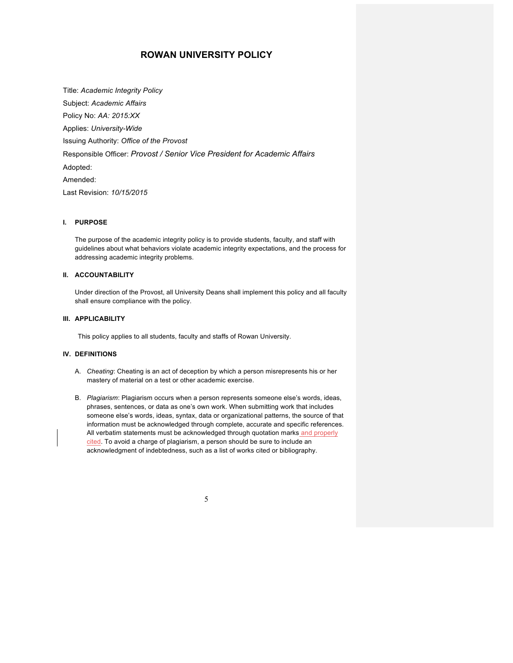# **ROWAN UNIVERSITY POLICY**

Title: *Academic Integrity Policy* Subject: *Academic Affairs* Policy No: *AA: 2015:XX* Applies: *University-Wide* Issuing Authority: *Office of the Provost* Responsible Officer: *Provost / Senior Vice President for Academic Affairs* Adopted: Amended: Last Revision: *10/15/2015*

### **I. PURPOSE**

The purpose of the academic integrity policy is to provide students, faculty, and staff with guidelines about what behaviors violate academic integrity expectations, and the process for addressing academic integrity problems.

#### **II. ACCOUNTABILITY**

Under direction of the Provost, all University Deans shall implement this policy and all faculty shall ensure compliance with the policy.

## **III. APPLICABILITY**

This policy applies to all students, faculty and staffs of Rowan University.

#### **IV. DEFINITIONS**

- A. *Cheating*: Cheating is an act of deception by which a person misrepresents his or her mastery of material on a test or other academic exercise.
- B. *Plagiarism*: Plagiarism occurs when a person represents someone else's words, ideas, phrases, sentences, or data as one's own work. When submitting work that includes someone else's words, ideas, syntax, data or organizational patterns, the source of that information must be acknowledged through complete, accurate and specific references. All verbatim statements must be acknowledged through quotation marks and properly cited. To avoid a charge of plagiarism, a person should be sure to include an acknowledgment of indebtedness, such as a list of works cited or bibliography.

|   |    |    | I |  |
|---|----|----|---|--|
|   |    |    |   |  |
|   |    |    |   |  |
|   |    |    | i |  |
| ٠ | ۰, | ۰. |   |  |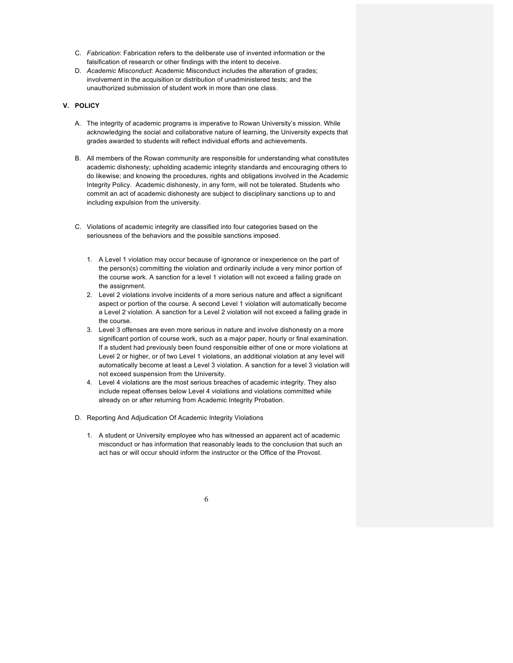- C. *Fabrication*: Fabrication refers to the deliberate use of invented information or the falsification of research or other findings with the intent to deceive.
- D. *Academic Misconduct*: Academic Misconduct includes the alteration of grades; involvement in the acquisition or distribution of unadministered tests; and the unauthorized submission of student work in more than one class.

# **V. POLICY**

- A. The integrity of academic programs is imperative to Rowan University's mission. While acknowledging the social and collaborative nature of learning, the University expects that grades awarded to students will reflect individual efforts and achievements.
- B. All members of the Rowan community are responsible for understanding what constitutes academic dishonesty; upholding academic integrity standards and encouraging others to do likewise; and knowing the procedures, rights and obligations involved in the Academic Integrity Policy. Academic dishonesty, in any form, will not be tolerated. Students who commit an act of academic dishonesty are subject to disciplinary sanctions up to and including expulsion from the university.
- C. Violations of academic integrity are classified into four categories based on the seriousness of the behaviors and the possible sanctions imposed.
	- 1. A Level 1 violation may occur because of ignorance or inexperience on the part of the person(s) committing the violation and ordinarily include a very minor portion of the course work. A sanction for a level 1 violation will not exceed a failing grade on the assignment.
	- 2. Level 2 violations involve incidents of a more serious nature and affect a significant aspect or portion of the course. A second Level 1 violation will automatically become a Level 2 violation. A sanction for a Level 2 violation will not exceed a failing grade in the course.
	- 3. Level 3 offenses are even more serious in nature and involve dishonesty on a more significant portion of course work, such as a major paper, hourly or final examination. If a student had previously been found responsible either of one or more violations at Level 2 or higher, or of two Level 1 violations, an additional violation at any level will automatically become at least a Level 3 violation. A sanction for a level 3 violation will not exceed suspension from the University.
	- 4. Level 4 violations are the most serious breaches of academic integrity. They also include repeat offenses below Level 4 violations and violations committed while already on or after returning from Academic Integrity Probation.
- D. Reporting And Adjudication Of Academic Integrity Violations
	- 1. A student or University employee who has witnessed an apparent act of academic misconduct or has information that reasonably leads to the conclusion that such an act has or will occur should inform the instructor or the Office of the Provost.

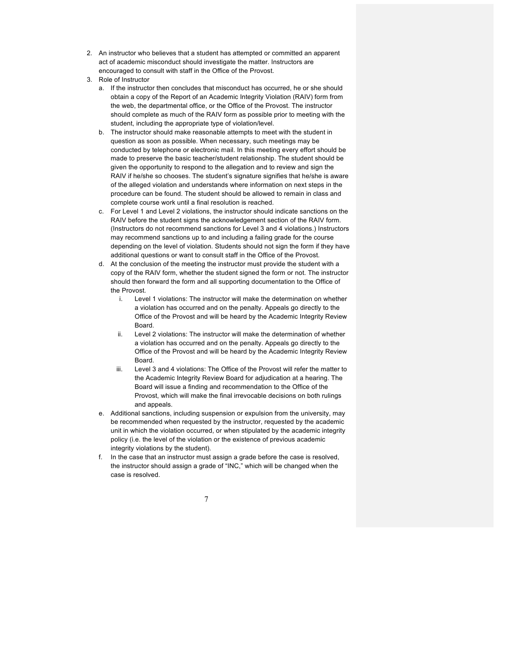- 2. An instructor who believes that a student has attempted or committed an apparent act of academic misconduct should investigate the matter. Instructors are encouraged to consult with staff in the Office of the Provost.
- 3. Role of Instructor
	- a. If the instructor then concludes that misconduct has occurred, he or she should obtain a copy of the Report of an Academic Integrity Violation (RAIV) form from the web, the departmental office, or the Office of the Provost. The instructor should complete as much of the RAIV form as possible prior to meeting with the student, including the appropriate type of violation/level.
	- b. The instructor should make reasonable attempts to meet with the student in question as soon as possible. When necessary, such meetings may be conducted by telephone or electronic mail. In this meeting every effort should be made to preserve the basic teacher/student relationship. The student should be given the opportunity to respond to the allegation and to review and sign the RAIV if he/she so chooses. The student's signature signifies that he/she is aware of the alleged violation and understands where information on next steps in the procedure can be found. The student should be allowed to remain in class and complete course work until a final resolution is reached.
	- c. For Level 1 and Level 2 violations, the instructor should indicate sanctions on the RAIV before the student signs the acknowledgement section of the RAIV form. (Instructors do not recommend sanctions for Level 3 and 4 violations.) Instructors may recommend sanctions up to and including a failing grade for the course depending on the level of violation. Students should not sign the form if they have additional questions or want to consult staff in the Office of the Provost.
	- d. At the conclusion of the meeting the instructor must provide the student with a copy of the RAIV form, whether the student signed the form or not. The instructor should then forward the form and all supporting documentation to the Office of the Provost.
		- i. Level 1 violations: The instructor will make the determination on whether a violation has occurred and on the penalty. Appeals go directly to the Office of the Provost and will be heard by the Academic Integrity Review Board.
		- ii. Level 2 violations: The instructor will make the determination of whether a violation has occurred and on the penalty. Appeals go directly to the Office of the Provost and will be heard by the Academic Integrity Review Board.
		- iii. Level 3 and 4 violations: The Office of the Provost will refer the matter to the Academic Integrity Review Board for adjudication at a hearing. The Board will issue a finding and recommendation to the Office of the Provost, which will make the final irrevocable decisions on both rulings and appeals.
	- e. Additional sanctions, including suspension or expulsion from the university, may be recommended when requested by the instructor, requested by the academic unit in which the violation occurred, or when stipulated by the academic integrity policy (i.e. the level of the violation or the existence of previous academic integrity violations by the student).
	- f. In the case that an instructor must assign a grade before the case is resolved, the instructor should assign a grade of "INC," which will be changed when the case is resolved.

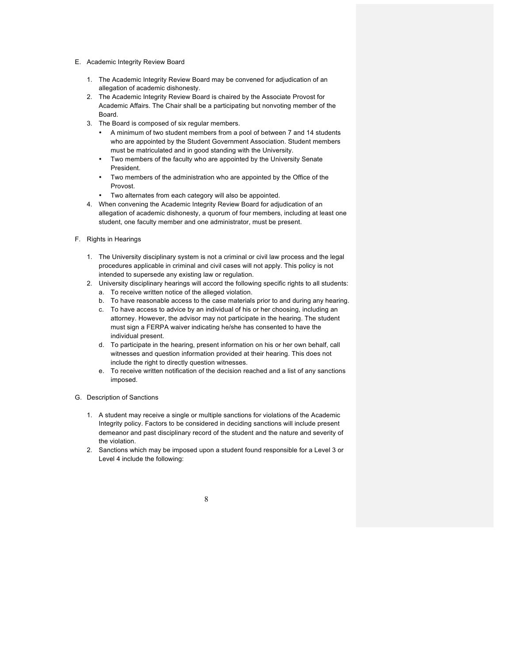- E. Academic Integrity Review Board
	- 1. The Academic Integrity Review Board may be convened for adjudication of an allegation of academic dishonesty.
	- 2. The Academic Integrity Review Board is chaired by the Associate Provost for Academic Affairs. The Chair shall be a participating but nonvoting member of the Board.
	- 3. The Board is composed of six regular members.
		- A minimum of two student members from a pool of between 7 and 14 students who are appointed by the Student Government Association. Student members must be matriculated and in good standing with the University.
		- Two members of the faculty who are appointed by the University Senate President.
		- Two members of the administration who are appointed by the Office of the Provost.
		- Two alternates from each category will also be appointed.
	- 4. When convening the Academic Integrity Review Board for adjudication of an allegation of academic dishonesty, a quorum of four members, including at least one student, one faculty member and one administrator, must be present.
- F. Rights in Hearings
	- 1. The University disciplinary system is not a criminal or civil law process and the legal procedures applicable in criminal and civil cases will not apply. This policy is not intended to supersede any existing law or regulation.
	- 2. University disciplinary hearings will accord the following specific rights to all students:
		- a. To receive written notice of the alleged violation.
		- b. To have reasonable access to the case materials prior to and during any hearing.
		- c. To have access to advice by an individual of his or her choosing, including an attorney. However, the advisor may not participate in the hearing. The student must sign a FERPA waiver indicating he/she has consented to have the individual present.
		- d. To participate in the hearing, present information on his or her own behalf, call witnesses and question information provided at their hearing. This does not include the right to directly question witnesses.
		- e. To receive written notification of the decision reached and a list of any sanctions imposed.
- G. Description of Sanctions
	- 1. A student may receive a single or multiple sanctions for violations of the Academic Integrity policy. Factors to be considered in deciding sanctions will include present demeanor and past disciplinary record of the student and the nature and severity of the violation.
	- 2. Sanctions which may be imposed upon a student found responsible for a Level 3 or Level 4 include the following:

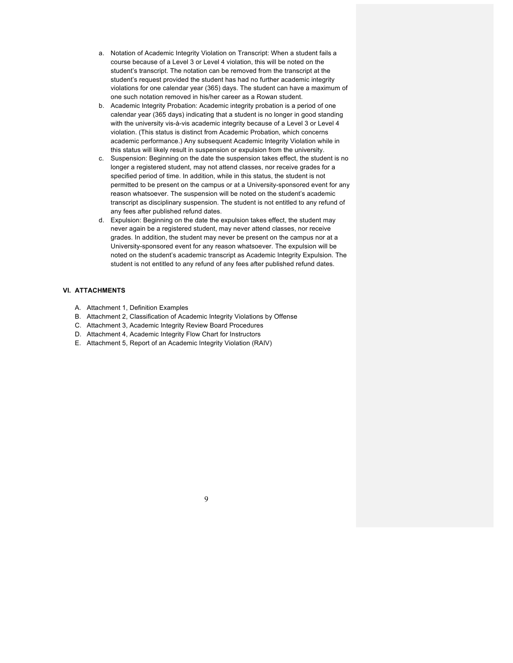- a. Notation of Academic Integrity Violation on Transcript: When a student fails a course because of a Level 3 or Level 4 violation, this will be noted on the student's transcript. The notation can be removed from the transcript at the student's request provided the student has had no further academic integrity violations for one calendar year (365) days. The student can have a maximum of one such notation removed in his/her career as a Rowan student.
- b. Academic Integrity Probation: Academic integrity probation is a period of one calendar year (365 days) indicating that a student is no longer in good standing with the university vis-à-vis academic integrity because of a Level 3 or Level 4 violation. (This status is distinct from Academic Probation, which concerns academic performance.) Any subsequent Academic Integrity Violation while in this status will likely result in suspension or expulsion from the university.
- c. Suspension: Beginning on the date the suspension takes effect, the student is no longer a registered student, may not attend classes, nor receive grades for a specified period of time. In addition, while in this status, the student is not permitted to be present on the campus or at a University-sponsored event for any reason whatsoever. The suspension will be noted on the student's academic transcript as disciplinary suspension. The student is not entitled to any refund of any fees after published refund dates.
- d. Expulsion: Beginning on the date the expulsion takes effect, the student may never again be a registered student, may never attend classes, nor receive grades. In addition, the student may never be present on the campus nor at a University-sponsored event for any reason whatsoever. The expulsion will be noted on the student's academic transcript as Academic Integrity Expulsion. The student is not entitled to any refund of any fees after published refund dates.

# **VI. ATTACHMENTS**

- A. Attachment 1, Definition Examples
- B. Attachment 2, Classification of Academic Integrity Violations by Offense
- C. Attachment 3, Academic Integrity Review Board Procedures
- D. Attachment 4, Academic Integrity Flow Chart for Instructors
- E. Attachment 5, Report of an Academic Integrity Violation (RAIV)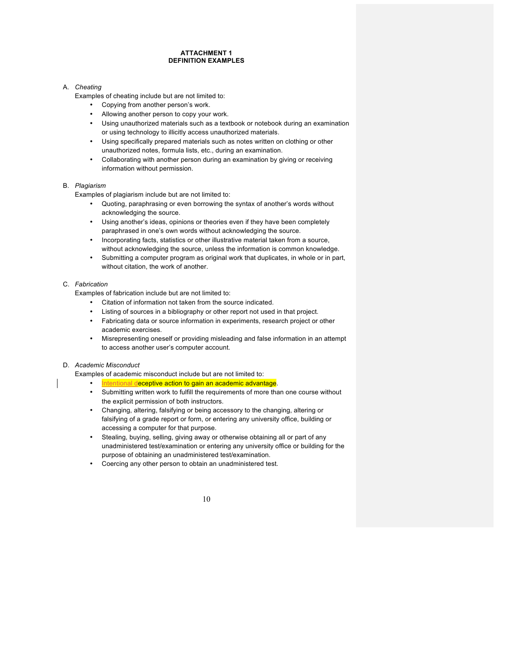#### **ATTACHMENT 1 DEFINITION EXAMPLES**

### A. *Cheating*

Examples of cheating include but are not limited to:

- Copying from another person's work.
- Allowing another person to copy your work.
- Using unauthorized materials such as a textbook or notebook during an examination or using technology to illicitly access unauthorized materials.
- Using specifically prepared materials such as notes written on clothing or other unauthorized notes, formula lists, etc., during an examination.
- Collaborating with another person during an examination by giving or receiving information without permission.

#### B. *Plagiarism*

Examples of plagiarism include but are not limited to:

- Quoting, paraphrasing or even borrowing the syntax of another's words without acknowledging the source.
- Using another's ideas, opinions or theories even if they have been completely paraphrased in one's own words without acknowledging the source.
- Incorporating facts, statistics or other illustrative material taken from a source, without acknowledging the source, unless the information is common knowledge.
- Submitting a computer program as original work that duplicates, in whole or in part, without citation, the work of another.

# C. *Fabrication*

Examples of fabrication include but are not limited to:

- Citation of information not taken from the source indicated.
- Listing of sources in a bibliography or other report not used in that project.
- Fabricating data or source information in experiments, research project or other academic exercises.
- Misrepresenting oneself or providing misleading and false information in an attempt to access another user's computer account.

## D. *Academic Misconduct*

Examples of academic misconduct include but are not limited to:

- Intentional deceptive action to gain an academic advantage.
- Submitting written work to fulfill the requirements of more than one course without the explicit permission of both instructors.
- Changing, altering, falsifying or being accessory to the changing, altering or falsifying of a grade report or form, or entering any university office, building or accessing a computer for that purpose.
- Stealing, buying, selling, giving away or otherwise obtaining all or part of any unadministered test/examination or entering any university office or building for the purpose of obtaining an unadministered test/examination.
- Coercing any other person to obtain an unadministered test.

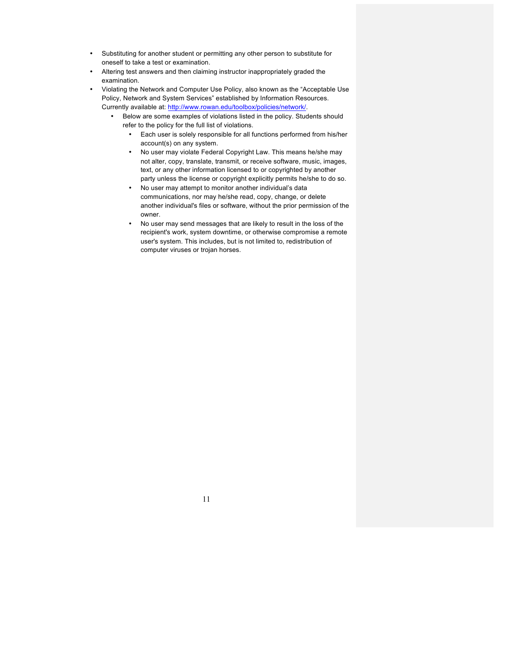- Substituting for another student or permitting any other person to substitute for oneself to take a test or examination.
- Altering test answers and then claiming instructor inappropriately graded the examination.
- Violating the Network and Computer Use Policy, also known as the "Acceptable Use Policy, Network and System Services" established by Information Resources. Currently available at: http://www.rowan.edu/toolbox/policies/network/.
	- Below are some examples of violations listed in the policy. Students should refer to the policy for the full list of violations.
		- Each user is solely responsible for all functions performed from his/her account(s) on any system.
		- No user may violate Federal Copyright Law. This means he/she may not alter, copy, translate, transmit, or receive software, music, images, text, or any other information licensed to or copyrighted by another party unless the license or copyright explicitly permits he/she to do so.
		- No user may attempt to monitor another individual's data communications, nor may he/she read, copy, change, or delete another individual's files or software, without the prior permission of the owner.
		- No user may send messages that are likely to result in the loss of the recipient's work, system downtime, or otherwise compromise a remote user's system. This includes, but is not limited to, redistribution of computer viruses or trojan horses.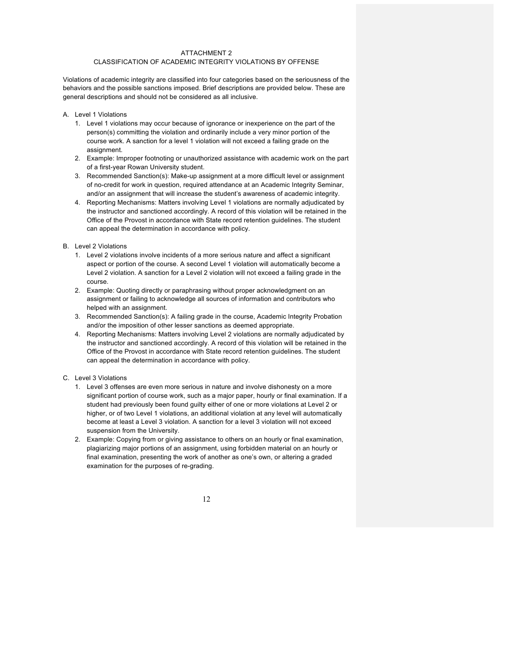#### ATTACHMENT 2 CLASSIFICATION OF ACADEMIC INTEGRITY VIOLATIONS BY OFFENSE

Violations of academic integrity are classified into four categories based on the seriousness of the behaviors and the possible sanctions imposed. Brief descriptions are provided below. These are general descriptions and should not be considered as all inclusive.

- A. Level 1 Violations
	- 1. Level 1 violations may occur because of ignorance or inexperience on the part of the person(s) committing the violation and ordinarily include a very minor portion of the course work. A sanction for a level 1 violation will not exceed a failing grade on the assignment.
	- 2. Example: Improper footnoting or unauthorized assistance with academic work on the part of a first-year Rowan University student.
	- 3. Recommended Sanction(s): Make-up assignment at a more difficult level or assignment of no-credit for work in question, required attendance at an Academic Integrity Seminar, and/or an assignment that will increase the student's awareness of academic integrity.
	- 4. Reporting Mechanisms: Matters involving Level 1 violations are normally adjudicated by the instructor and sanctioned accordingly. A record of this violation will be retained in the Office of the Provost in accordance with State record retention guidelines. The student can appeal the determination in accordance with policy.
- B. Level 2 Violations
	- 1. Level 2 violations involve incidents of a more serious nature and affect a significant aspect or portion of the course. A second Level 1 violation will automatically become a Level 2 violation. A sanction for a Level 2 violation will not exceed a failing grade in the course.
	- 2. Example: Quoting directly or paraphrasing without proper acknowledgment on an assignment or failing to acknowledge all sources of information and contributors who helped with an assignment.
	- 3. Recommended Sanction(s): A failing grade in the course, Academic Integrity Probation and/or the imposition of other lesser sanctions as deemed appropriate.
	- 4. Reporting Mechanisms: Matters involving Level 2 violations are normally adjudicated by the instructor and sanctioned accordingly. A record of this violation will be retained in the Office of the Provost in accordance with State record retention guidelines. The student can appeal the determination in accordance with policy.
- C. Level 3 Violations
	- 1. Level 3 offenses are even more serious in nature and involve dishonesty on a more significant portion of course work, such as a major paper, hourly or final examination. If a student had previously been found guilty either of one or more violations at Level 2 or higher, or of two Level 1 violations, an additional violation at any level will automatically become at least a Level 3 violation. A sanction for a level 3 violation will not exceed suspension from the University.
	- 2. Example: Copying from or giving assistance to others on an hourly or final examination, plagiarizing major portions of an assignment, using forbidden material on an hourly or final examination, presenting the work of another as one's own, or altering a graded examination for the purposes of re-grading.

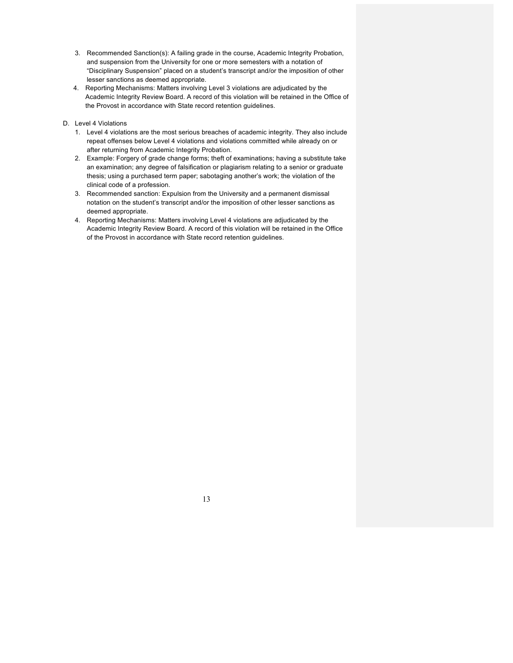- 3. Recommended Sanction(s): A failing grade in the course, Academic Integrity Probation, and suspension from the University for one or more semesters with a notation of "Disciplinary Suspension" placed on a student's transcript and/or the imposition of other lesser sanctions as deemed appropriate.
- 4. Reporting Mechanisms: Matters involving Level 3 violations are adjudicated by the Academic Integrity Review Board. A record of this violation will be retained in the Office of the Provost in accordance with State record retention guidelines.
- D. Level 4 Violations
	- 1. Level 4 violations are the most serious breaches of academic integrity. They also include repeat offenses below Level 4 violations and violations committed while already on or after returning from Academic Integrity Probation.
	- 2. Example: Forgery of grade change forms; theft of examinations; having a substitute take an examination; any degree of falsification or plagiarism relating to a senior or graduate thesis; using a purchased term paper; sabotaging another's work; the violation of the clinical code of a profession.
	- 3. Recommended sanction: Expulsion from the University and a permanent dismissal notation on the student's transcript and/or the imposition of other lesser sanctions as deemed appropriate.
	- 4. Reporting Mechanisms: Matters involving Level 4 violations are adjudicated by the Academic Integrity Review Board. A record of this violation will be retained in the Office of the Provost in accordance with State record retention guidelines.

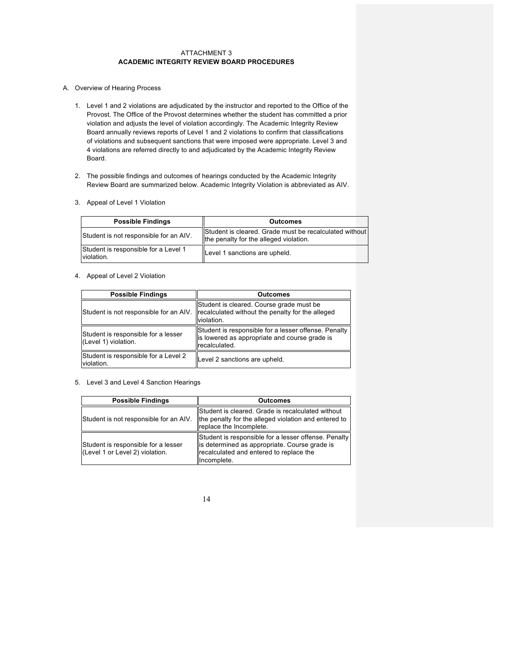### ATTACHMENT 3 **ACADEMIC INTEGRITY REVIEW BOARD PROCEDURES**

- A. Overview of Hearing Process
	- 1. Level 1 and 2 violations are adjudicated by the instructor and reported to the Office of the Provost. The Office of the Provost determines whether the student has committed a prior violation and adjusts the level of violation accordingly. The Academic Integrity Review Board annually reviews reports of Level 1 and 2 violations to confirm that classifications of violations and subsequent sanctions that were imposed were appropriate. Level 3 and 4 violations are referred directly to and adjudicated by the Academic Integrity Review Board.
	- 2. The possible findings and outcomes of hearings conducted by the Academic Integrity Review Board are summarized below. Academic Integrity Violation is abbreviated as AIV.
	- 3. Appeal of Level 1 Violation

| <b>Possible Findings</b>                           | <b>Outcomes</b>                                                                                  |
|----------------------------------------------------|--------------------------------------------------------------------------------------------------|
| Student is not responsible for an AIV.             | Student is cleared. Grade must be recalculated without<br>the penalty for the alleged violation. |
| Student is responsible for a Level 1<br>violation. | Level 1 sanctions are upheld.                                                                    |

4. Appeal of Level 2 Violation

| <b>Possible Findings</b>                                    | <b>Outcomes</b>                                                                                                         |
|-------------------------------------------------------------|-------------------------------------------------------------------------------------------------------------------------|
| Student is not responsible for an AIV.                      | Student is cleared. Course grade must be<br>recalculated without the penalty for the alleged<br>violation.              |
| Student is responsible for a lesser<br>(Level 1) violation. | Student is responsible for a lesser offense. Penalty<br>lis lowered as appropriate and course grade is<br>recalculated. |
| Student is responsible for a Level 2<br>violation.          | Level 2 sanctions are upheld.                                                                                           |

5. Level 3 and Level 4 Sanction Hearings

| <b>Possible Findings</b>                                               | <b>Outcomes</b>                                                                                                                                                 |
|------------------------------------------------------------------------|-----------------------------------------------------------------------------------------------------------------------------------------------------------------|
| Student is not responsible for an AIV.                                 | Student is cleared. Grade is recalculated without<br>the penalty for the alleged violation and entered to<br>replace the Incomplete.                            |
| Student is responsible for a lesser<br>(Level 1 or Level 2) violation. | Student is responsible for a lesser offense. Penalty<br>is determined as appropriate. Course grade is<br>recalculated and entered to replace the<br>Incomplete. |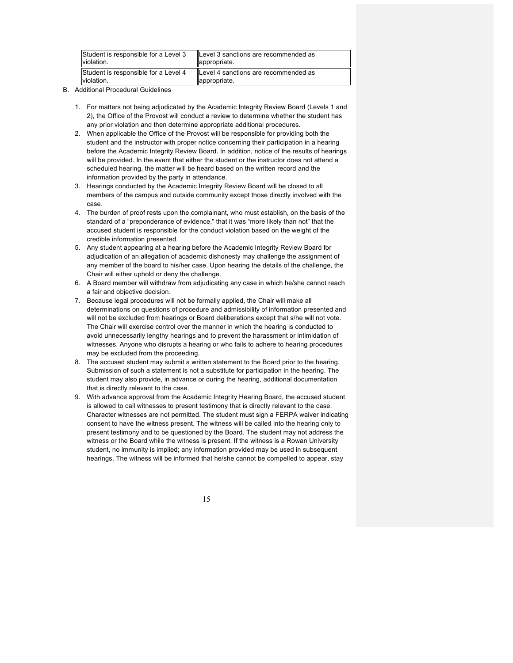| Student is responsible for a Level 3 | Level 3 sanctions are recommended as |
|--------------------------------------|--------------------------------------|
| violation.                           | appropriate.                         |
| Student is responsible for a Level 4 | Level 4 sanctions are recommended as |
| violation.                           | lappropriate.                        |

- B. Additional Procedural Guidelines
	- 1. For matters not being adjudicated by the Academic Integrity Review Board (Levels 1 and 2), the Office of the Provost will conduct a review to determine whether the student has any prior violation and then determine appropriate additional procedures.
	- 2. When applicable the Office of the Provost will be responsible for providing both the student and the instructor with proper notice concerning their participation in a hearing before the Academic Integrity Review Board. In addition, notice of the results of hearings will be provided. In the event that either the student or the instructor does not attend a scheduled hearing, the matter will be heard based on the written record and the information provided by the party in attendance.
	- 3. Hearings conducted by the Academic Integrity Review Board will be closed to all members of the campus and outside community except those directly involved with the case.
	- 4. The burden of proof rests upon the complainant, who must establish, on the basis of the standard of a "preponderance of evidence," that it was "more likely than not" that the accused student is responsible for the conduct violation based on the weight of the credible information presented.
	- 5. Any student appearing at a hearing before the Academic Integrity Review Board for adjudication of an allegation of academic dishonesty may challenge the assignment of any member of the board to his/her case. Upon hearing the details of the challenge, the Chair will either uphold or deny the challenge.
	- 6. A Board member will withdraw from adjudicating any case in which he/she cannot reach a fair and objective decision.
	- 7. Because legal procedures will not be formally applied, the Chair will make all determinations on questions of procedure and admissibility of information presented and will not be excluded from hearings or Board deliberations except that s/he will not vote. The Chair will exercise control over the manner in which the hearing is conducted to avoid unnecessarily lengthy hearings and to prevent the harassment or intimidation of witnesses. Anyone who disrupts a hearing or who fails to adhere to hearing procedures may be excluded from the proceeding.
	- 8. The accused student may submit a written statement to the Board prior to the hearing. Submission of such a statement is not a substitute for participation in the hearing. The student may also provide, in advance or during the hearing, additional documentation that is directly relevant to the case.
	- 9. With advance approval from the Academic Integrity Hearing Board, the accused student is allowed to call witnesses to present testimony that is directly relevant to the case. Character witnesses are not permitted. The student must sign a FERPA waiver indicating consent to have the witness present. The witness will be called into the hearing only to present testimony and to be questioned by the Board. The student may not address the witness or the Board while the witness is present. If the witness is a Rowan University student, no immunity is implied; any information provided may be used in subsequent hearings. The witness will be informed that he/she cannot be compelled to appear, stay

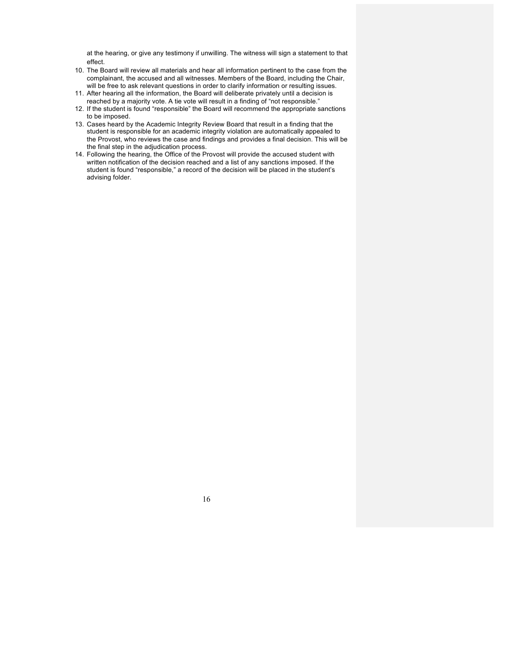at the hearing, or give any testimony if unwilling. The witness will sign a statement to that effect.

- 10. The Board will review all materials and hear all information pertinent to the case from the complainant, the accused and all witnesses. Members of the Board, including the Chair, will be free to ask relevant questions in order to clarify information or resulting issues.
- 11. After hearing all the information, the Board will deliberate privately until a decision is reached by a majority vote. A tie vote will result in a finding of "not responsible."
- 12. If the student is found "responsible" the Board will recommend the appropriate sanctions to be imposed.
- 13. Cases heard by the Academic Integrity Review Board that result in a finding that the student is responsible for an academic integrity violation are automatically appealed to the Provost, who reviews the case and findings and provides a final decision. This will be the final step in the adjudication process.
- 14. Following the hearing, the Office of the Provost will provide the accused student with written notification of the decision reached and a list of any sanctions imposed. If the student is found "responsible," a record of the decision will be placed in the student's advising folder.

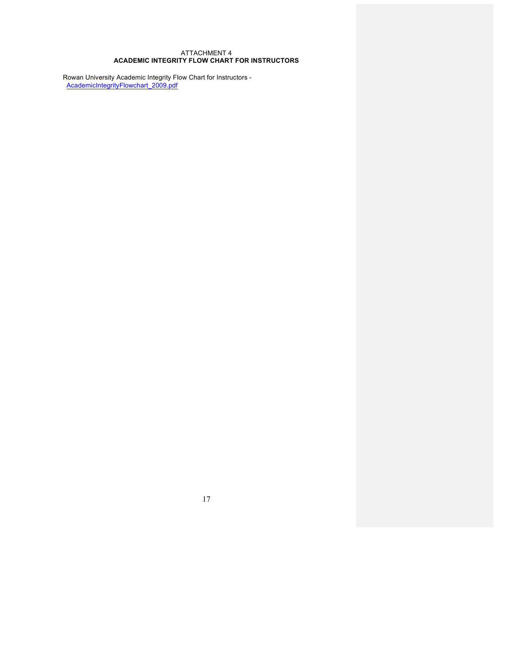### ATTACHMENT 4 **ACADEMIC INTEGRITY FLOW CHART FOR INSTRUCTORS**

Rowan University Academic Integrity Flow Chart for Instructors - AcademicIntegrityFlowchart\_2009.pdf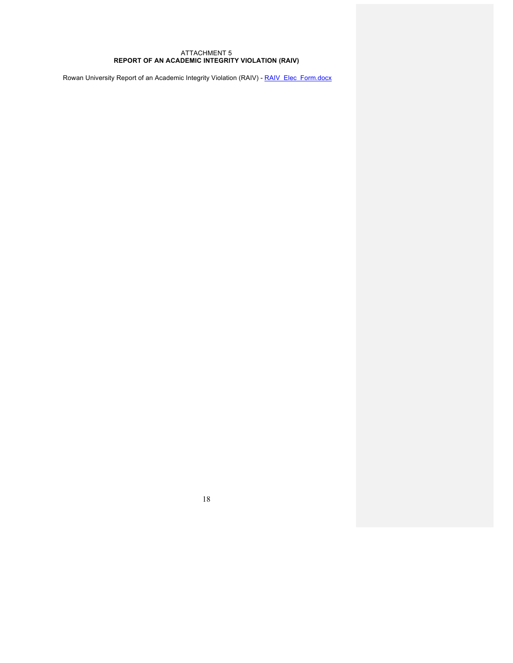#### ATTACHMENT 5 **REPORT OF AN ACADEMIC INTEGRITY VIOLATION (RAIV)**

Rowan University Report of an Academic Integrity Violation (RAIV) - RAIV\_Elec\_Form.docx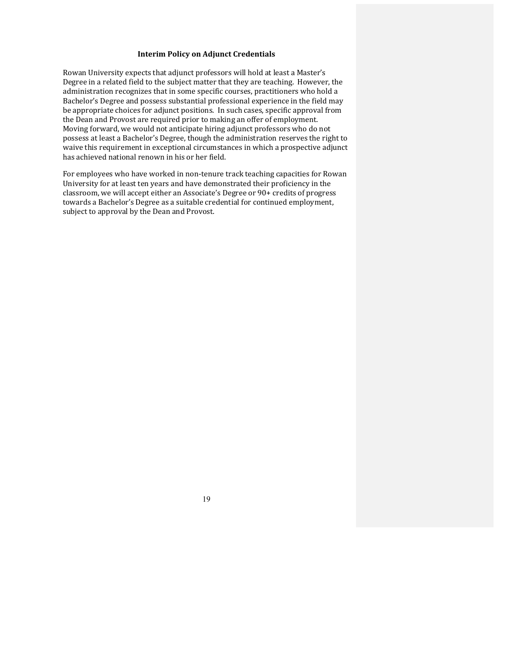### **Interim Policy on Adjunct Credentials**

Rowan University expects that adjunct professors will hold at least a Master's Degree in a related field to the subject matter that they are teaching. However, the administration recognizes that in some specific courses, practitioners who hold a Bachelor's Degree and possess substantial professional experience in the field may be appropriate choices for adjunct positions. In such cases, specific approval from the Dean and Provost are required prior to making an offer of employment. Moving forward, we would not anticipate hiring adjunct professors who do not possess at least a Bachelor's Degree, though the administration reserves the right to waive this requirement in exceptional circumstances in which a prospective adjunct has achieved national renown in his or her field.

For employees who have worked in non-tenure track teaching capacities for Rowan University for at least ten years and have demonstrated their proficiency in the classroom, we will accept either an Associate's Degree or 90+ credits of progress towards a Bachelor's Degree as a suitable credential for continued employment, subject to approval by the Dean and Provost.

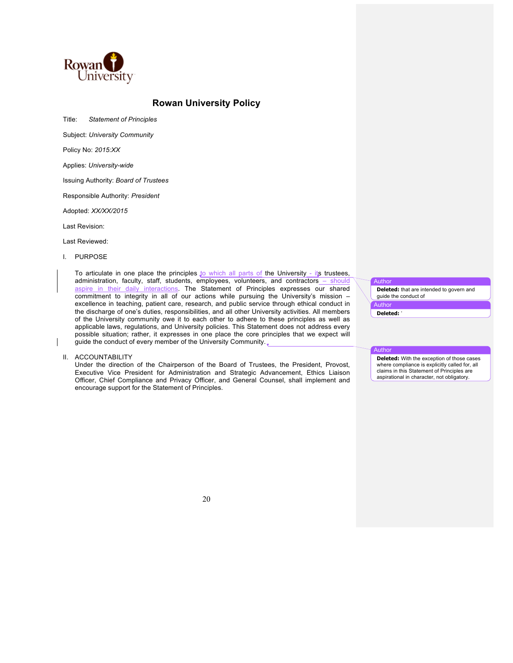

# **Rowan University Policy**

Title: *Statement of Principles*

Subject: *University Community*

Policy No: *2015:XX*

Applies: *University-wide*

Issuing Authority: *Board of Trustees*

Responsible Authority: *President* 

Adopted: *XX/XX/2015*

Last Revision:

Last Reviewed:

I. PURPOSE

To articulate in one place the principles to which all parts of the University - its trustees, administration, faculty, staff, students, employees, volunteers, and contractors – should aspire in their daily interactions. The Statement of Principles expresses our shared commitment to integrity in all of our actions while pursuing the University's mission – excellence in teaching, patient care, research, and public service through ethical conduct in the discharge of one's duties, responsibilities, and all other University activities. All members of the University community owe it to each other to adhere to these principles as well as applicable laws, regulations, and University policies. This Statement does not address every possible situation; rather, it expresses in one place the core principles that we expect will guide the conduct of every member of the University Community.

II. ACCOUNTABILITY

Under the direction of the Chairperson of the Board of Trustees, the President, Provost, Executive Vice President for Administration and Strategic Advancement, Ethics Liaison Officer, Chief Compliance and Privacy Officer, and General Counsel, shall implement and encourage support for the Statement of Principles.

**Author** 

**Deleted:** that are intended to govern and guide the conduct of

Autho **Deleted:** '

#### Author

**Deleted:** With the exception of those cases where compliance is explicitly called for, all claims in this Statement of Principles are aspirational in character, not obligatory.

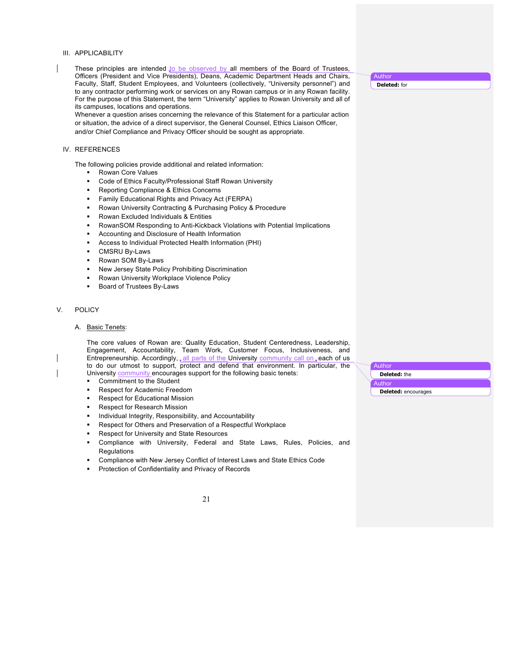#### III. APPLICABILITY

These principles are intended to be observed by all members of the Board of Trustees, Officers (President and Vice Presidents), Deans, Academic Department Heads and Chairs, Faculty, Staff, Student Employees, and Volunteers (collectively, "University personnel") and to any contractor performing work or services on any Rowan campus or in any Rowan facility. For the purpose of this Statement, the term "University" applies to Rowan University and all of its campuses, locations and operations.

Whenever a question arises concerning the relevance of this Statement for a particular action or situation, the advice of a direct supervisor, the General Counsel, Ethics Liaison Officer, and/or Chief Compliance and Privacy Officer should be sought as appropriate.

#### IV. REFERENCES

The following policies provide additional and related information:

- § Rowan Core Values
- Code of Ethics Faculty/Professional Staff Rowan University
- § Reporting Compliance & Ethics Concerns
- § Family Educational Rights and Privacy Act (FERPA)
- § Rowan University Contracting & Purchasing Policy & Procedure
- § Rowan Excluded Individuals & Entities
- § RowanSOM Responding to Anti-Kickback Violations with Potential Implications
- § Accounting and Disclosure of Health Information
- § Access to Individual Protected Health Information (PHI)
- § CMSRU By-Laws
- § Rowan SOM By-Laws
- New Jersey State Policy Prohibiting Discrimination
- § Rowan University Workplace Violence Policy
- Board of Trustees By-Laws

### V. POLICY

#### A. Basic Tenets:

The core values of Rowan are: Quality Education, Student Centeredness, Leadership, Engagement, Accountability, Team Work, Customer Focus, Inclusiveness, and Entrepreneurship. Accordingly, all parts of the University community call on, each of us to do our utmost to support, protect and defend that environment. In particular, the University community encourages support for the following basic tenets:

- § Commitment to the Student
- Respect for Academic Freedom
- § Respect for Educational Mission
- § Respect for Research Mission
- Individual Integrity, Responsibility, and Accountability
- § Respect for Others and Preservation of a Respectful Workplace
- § Respect for University and State Resources
- Compliance with University, Federal and State Laws, Rules, Policies, and **Regulations**
- § Compliance with New Jersey Conflict of Interest Laws and State Ethics Code
- § Protection of Confidentiality and Privacy of Records

21

**Author Deleted:** the Author **Deleted:** encourages

**Author Deleted:** for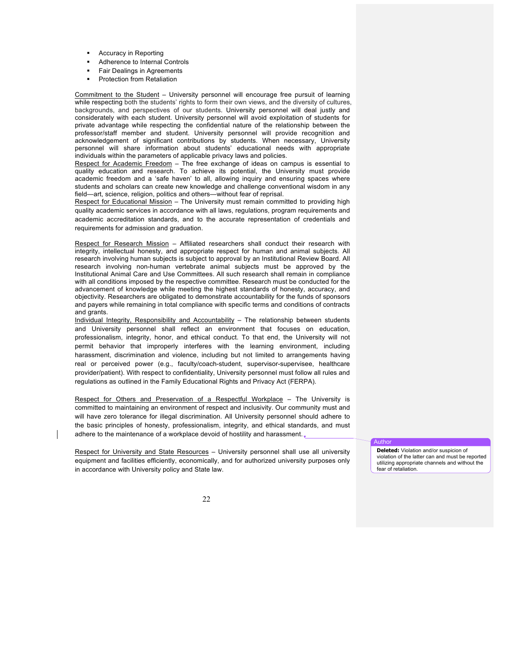- § Accuracy in Reporting
- § Adherence to Internal Controls
- Fair Dealings in Agreements
- § Protection from Retaliation

Commitment to the Student – University personnel will encourage free pursuit of learning while respecting both the students' rights to form their own views, and the diversity of cultures, backgrounds, and perspectives of our students. University personnel will deal justly and considerately with each student. University personnel will avoid exploitation of students for private advantage while respecting the confidential nature of the relationship between the professor/staff member and student. University personnel will provide recognition and acknowledgement of significant contributions by students. When necessary, University personnel will share information about students' educational needs with appropriate individuals within the parameters of applicable privacy laws and policies.

Respect for Academic Freedom – The free exchange of ideas on campus is essential to quality education and research. To achieve its potential, the University must provide academic freedom and a 'safe haven' to all, allowing inquiry and ensuring spaces where students and scholars can create new knowledge and challenge conventional wisdom in any field—art, science, religion, politics and others—without fear of reprisal.

Respect for Educational Mission - The University must remain committed to providing high quality academic services in accordance with all laws, regulations, program requirements and academic accreditation standards, and to the accurate representation of credentials and requirements for admission and graduation.

Respect for Research Mission – Affiliated researchers shall conduct their research with integrity, intellectual honesty, and appropriate respect for human and animal subjects. All research involving human subjects is subject to approval by an Institutional Review Board. All research involving non-human vertebrate animal subjects must be approved by the Institutional Animal Care and Use Committees. All such research shall remain in compliance with all conditions imposed by the respective committee. Research must be conducted for the advancement of knowledge while meeting the highest standards of honesty, accuracy, and objectivity. Researchers are obligated to demonstrate accountability for the funds of sponsors and payers while remaining in total compliance with specific terms and conditions of contracts and grants.

Individual Integrity, Responsibility and Accountability – The relationship between students and University personnel shall reflect an environment that focuses on education, professionalism, integrity, honor, and ethical conduct. To that end, the University will not permit behavior that improperly interferes with the learning environment, including harassment, discrimination and violence, including but not limited to arrangements having real or perceived power (e.g., faculty/coach-student, supervisor-supervisee, healthcare provider/patient). With respect to confidentiality, University personnel must follow all rules and regulations as outlined in the Family Educational Rights and Privacy Act (FERPA).

Respect for Others and Preservation of a Respectful Workplace – The University is committed to maintaining an environment of respect and inclusivity. Our community must and will have zero tolerance for illegal discrimination. All University personnel should adhere to the basic principles of honesty, professionalism, integrity, and ethical standards, and must adhere to the maintenance of a workplace devoid of hostility and harassment.

Respect for University and State Resources – University personnel shall use all university equipment and facilities efficiently, economically, and for authorized university purposes only in accordance with University policy and State law.

Author

**Deleted:** Violation and/or suspicion of violation of the latter can and must be reported utilizing appropriate channels and without the fear of retaliation.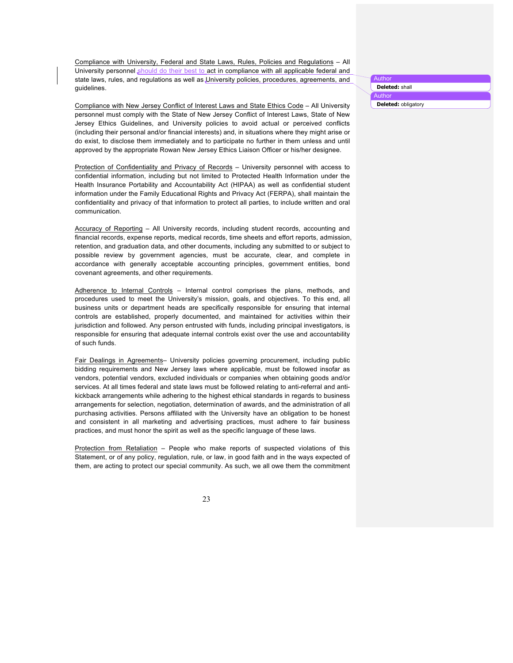Compliance with University, Federal and State Laws, Rules, Policies and Regulations – All University personnel should do their best to act in compliance with all applicable federal and state laws, rules, and regulations as well as University policies, procedures, agreements, and guidelines.

Compliance with New Jersey Conflict of Interest Laws and State Ethics Code – All University personnel must comply with the State of New Jersey Conflict of Interest Laws, State of New Jersey Ethics Guidelines, and University policies to avoid actual or perceived conflicts (including their personal and/or financial interests) and, in situations where they might arise or do exist, to disclose them immediately and to participate no further in them unless and until approved by the appropriate Rowan New Jersey Ethics Liaison Officer or his/her designee.

Protection of Confidentiality and Privacy of Records – University personnel with access to confidential information, including but not limited to Protected Health Information under the Health Insurance Portability and Accountability Act (HIPAA) as well as confidential student information under the Family Educational Rights and Privacy Act (FERPA), shall maintain the confidentiality and privacy of that information to protect all parties, to include written and oral communication.

Accuracy of Reporting – All University records, including student records, accounting and financial records, expense reports, medical records, time sheets and effort reports, admission, retention, and graduation data, and other documents, including any submitted to or subject to possible review by government agencies, must be accurate, clear, and complete in accordance with generally acceptable accounting principles, government entities, bond covenant agreements, and other requirements.

Adherence to Internal Controls - Internal control comprises the plans, methods, and procedures used to meet the University's mission, goals, and objectives. To this end, all business units or department heads are specifically responsible for ensuring that internal controls are established, properly documented, and maintained for activities within their jurisdiction and followed. Any person entrusted with funds, including principal investigators, is responsible for ensuring that adequate internal controls exist over the use and accountability of such funds.

Fair Dealings in Agreements– University policies governing procurement, including public bidding requirements and New Jersey laws where applicable, must be followed insofar as vendors, potential vendors, excluded individuals or companies when obtaining goods and/or services. At all times federal and state laws must be followed relating to anti-referral and antikickback arrangements while adhering to the highest ethical standards in regards to business arrangements for selection, negotiation, determination of awards, and the administration of all purchasing activities. Persons affiliated with the University have an obligation to be honest and consistent in all marketing and advertising practices, must adhere to fair business practices, and must honor the spirit as well as the specific language of these laws.

Protection from Retaliation – People who make reports of suspected violations of this Statement, or of any policy, regulation, rule, or law, in good faith and in the ways expected of them, are acting to protect our special community. As such, we all owe them the commitment

23

Author **Deleted:** shall

Author

**Deleted:** obligatory